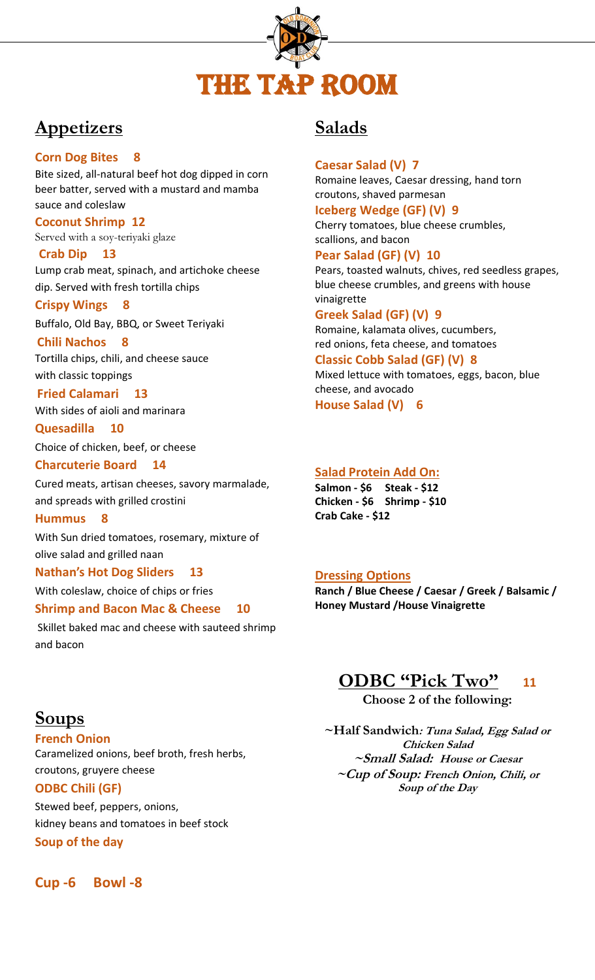

# **Appetizers**

## **Corn Dog Bites 8**

Bite sized, all-natural beef hot dog dipped in corn beer batter, served with a mustard and mamba sauce and coleslaw

#### **Coconut Shrimp 12** Served with a soy-teriyaki glaze

**Crab Dip 13** Lump crab meat, spinach, and artichoke cheese dip. Served with fresh tortilla chips

**Crispy Wings 8**

Buffalo, Old Bay, BBQ, or Sweet Teriyaki

### **Chili Nachos 8**

Tortilla chips, chili, and cheese sauce with classic toppings

## **Fried Calamari 13**

With sides of aioli and marinara

**Quesadilla 10** Choice of chicken, beef, or cheese

### **Charcuterie Board 14**

Cured meats, artisan cheeses, savory marmalade, and spreads with grilled crostini

#### **Hummus 8**

With Sun dried tomatoes, rosemary, mixture of olive salad and grilled naan

## **Nathan's Hot Dog Sliders 13**

With coleslaw, choice of chips or fries

## **Shrimp and Bacon Mac & Cheese 10**

Skillet baked mac and cheese with sauteed shrimp and bacon

## **Soups**

**French Onion** 

Caramelized onions, beef broth, fresh herbs, croutons, gruyere cheese **ODBC Chili (GF)** 

Stewed beef, peppers, onions, kidney beans and tomatoes in beef stock **Soup of the day**

**Cup -6 Bowl -8**

## **Salads**

## **Caesar Salad (V) 7**

Romaine leaves, Caesar dressing, hand torn croutons, shaved parmesan

#### **Iceberg Wedge (GF) (V) 9** Cherry tomatoes, blue cheese crumbles,

scallions, and bacon

## **Pear Salad (GF) (V) 10**

Pears, toasted walnuts, chives, red seedless grapes, blue cheese crumbles, and greens with house vinaigrette

### **Greek Salad (GF) (V) 9**

Romaine, kalamata olives, cucumbers, red onions, feta cheese, and tomatoes

## **Classic Cobb Salad (GF) (V) 8**

Mixed lettuce with tomatoes, eggs, bacon, blue cheese, and avocado **House Salad (V) 6**

## **Salad Protein Add On:**

**Salmon - \$6 Steak - \$12 Chicken - \$6 Shrimp - \$10 Crab Cake - \$12**

## **Dressing Options**

**Ranch / Blue Cheese / Caesar / Greek / Balsamic / Honey Mustard /House Vinaigrette**

## **ODBC "Pick Two" <sup>11</sup>**

**Choose 2 of the following:**

**~Half Sandwich: Tuna Salad, Egg Salad or Chicken Salad ~Small Salad: House or Caesar ~Cup of Soup: French Onion, Chili, or Soup of the Day**